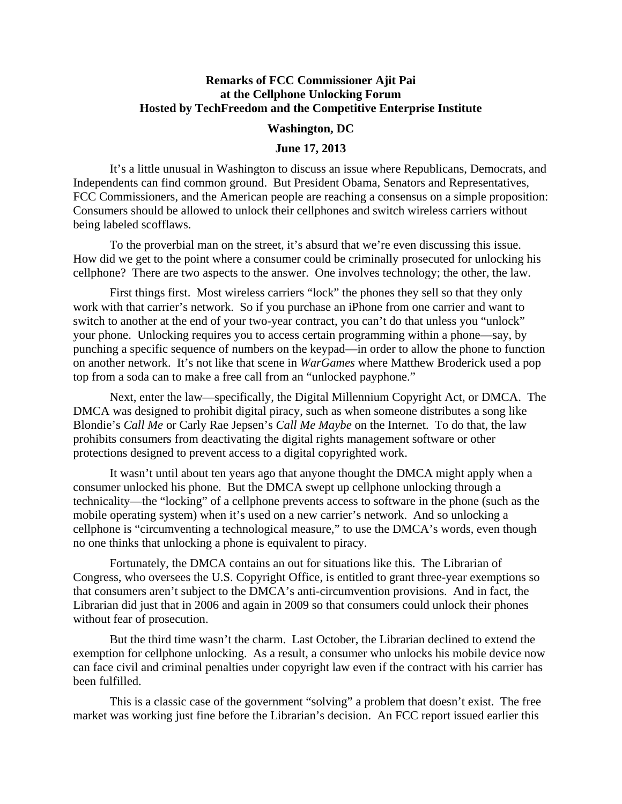## **Remarks of FCC Commissioner Ajit Pai at the Cellphone Unlocking Forum Hosted by TechFreedom and the Competitive Enterprise Institute**

## **Washington, DC**

## **June 17, 2013**

It's a little unusual in Washington to discuss an issue where Republicans, Democrats, and Independents can find common ground. But President Obama, Senators and Representatives, FCC Commissioners, and the American people are reaching a consensus on a simple proposition: Consumers should be allowed to unlock their cellphones and switch wireless carriers without being labeled scofflaws.

To the proverbial man on the street, it's absurd that we're even discussing this issue. How did we get to the point where a consumer could be criminally prosecuted for unlocking his cellphone? There are two aspects to the answer. One involves technology; the other, the law.

First things first. Most wireless carriers "lock" the phones they sell so that they only work with that carrier's network. So if you purchase an iPhone from one carrier and want to switch to another at the end of your two-year contract, you can't do that unless you "unlock" your phone. Unlocking requires you to access certain programming within a phone—say, by punching a specific sequence of numbers on the keypad—in order to allow the phone to function on another network. It's not like that scene in *WarGames* where Matthew Broderick used a pop top from a soda can to make a free call from an "unlocked payphone."

Next, enter the law—specifically, the Digital Millennium Copyright Act, or DMCA. The DMCA was designed to prohibit digital piracy, such as when someone distributes a song like Blondie's *Call Me* or Carly Rae Jepsen's *Call Me Maybe* on the Internet. To do that, the law prohibits consumers from deactivating the digital rights management software or other protections designed to prevent access to a digital copyrighted work.

It wasn't until about ten years ago that anyone thought the DMCA might apply when a consumer unlocked his phone. But the DMCA swept up cellphone unlocking through a technicality—the "locking" of a cellphone prevents access to software in the phone (such as the mobile operating system) when it's used on a new carrier's network. And so unlocking a cellphone is "circumventing a technological measure," to use the DMCA's words, even though no one thinks that unlocking a phone is equivalent to piracy.

Fortunately, the DMCA contains an out for situations like this. The Librarian of Congress, who oversees the U.S. Copyright Office, is entitled to grant three-year exemptions so that consumers aren't subject to the DMCA's anti-circumvention provisions. And in fact, the Librarian did just that in 2006 and again in 2009 so that consumers could unlock their phones without fear of prosecution.

But the third time wasn't the charm. Last October, the Librarian declined to extend the exemption for cellphone unlocking. As a result, a consumer who unlocks his mobile device now can face civil and criminal penalties under copyright law even if the contract with his carrier has been fulfilled.

This is a classic case of the government "solving" a problem that doesn't exist. The free market was working just fine before the Librarian's decision. An FCC report issued earlier this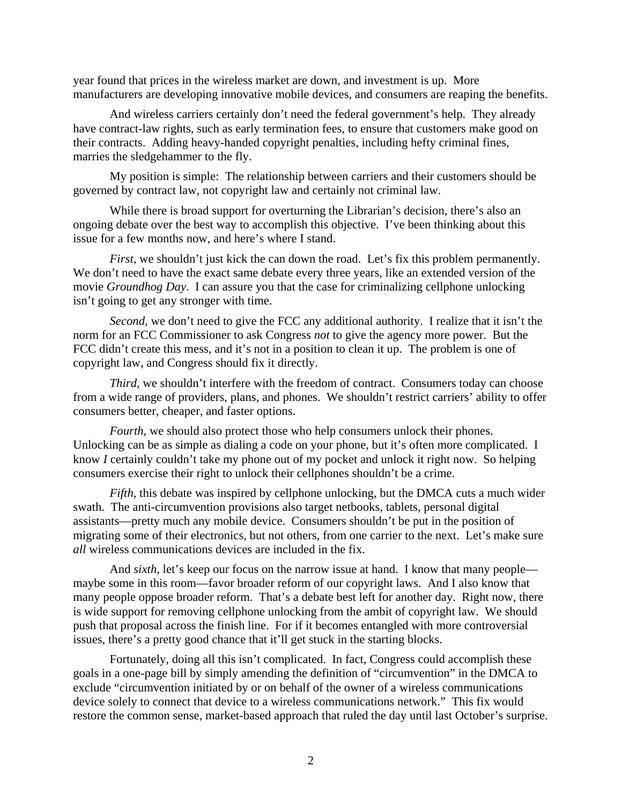year found that prices in the wireless market are down, and investment is up. More manufacturers are developing innovative mobile devices, and consumers are reaping the benefits.

And wireless carriers certainly don't need the federal government's help. They already have contract-law rights, such as early termination fees, to ensure that customers make good on their contracts. Adding heavy-handed copyright penalties, including hefty criminal fines, marries the sledgehammer to the fly.

My position is simple: The relationship between carriers and their customers should be governed by contract law, not copyright law and certainly not criminal law.

While there is broad support for overturning the Librarian's decision, there's also an ongoing debate over the best way to accomplish this objective. I've been thinking about this issue for a few months now, and here's where I stand.

*First*, we shouldn't just kick the can down the road. Let's fix this problem permanently. We don't need to have the exact same debate every three years, like an extended version of the movie *Groundhog Day*. I can assure you that the case for criminalizing cellphone unlocking isn't going to get any stronger with time.

*Second*, we don't need to give the FCC any additional authority. I realize that it isn't the norm for an FCC Commissioner to ask Congress *not* to give the agency more power. But the FCC didn't create this mess, and it's not in a position to clean it up. The problem is one of copyright law, and Congress should fix it directly.

*Third*, we shouldn't interfere with the freedom of contract. Consumers today can choose from a wide range of providers, plans, and phones. We shouldn't restrict carriers' ability to offer consumers better, cheaper, and faster options.

*Fourth*, we should also protect those who help consumers unlock their phones. Unlocking can be as simple as dialing a code on your phone, but it's often more complicated. I know *I* certainly couldn't take my phone out of my pocket and unlock it right now. So helping consumers exercise their right to unlock their cellphones shouldn't be a crime.

*Fifth*, this debate was inspired by cellphone unlocking, but the DMCA cuts a much wider swath. The anti-circumvention provisions also target netbooks, tablets, personal digital assistants—pretty much any mobile device. Consumers shouldn't be put in the position of migrating some of their electronics, but not others, from one carrier to the next. Let's make sure *all* wireless communications devices are included in the fix.

And *sixth*, let's keep our focus on the narrow issue at hand. I know that many people maybe some in this room—favor broader reform of our copyright laws. And I also know that many people oppose broader reform. That's a debate best left for another day. Right now, there is wide support for removing cellphone unlocking from the ambit of copyright law. We should push that proposal across the finish line. For if it becomes entangled with more controversial issues, there's a pretty good chance that it'll get stuck in the starting blocks.

Fortunately, doing all this isn't complicated. In fact, Congress could accomplish these goals in a one-page bill by simply amending the definition of "circumvention" in the DMCA to exclude "circumvention initiated by or on behalf of the owner of a wireless communications device solely to connect that device to a wireless communications network." This fix would restore the common sense, market-based approach that ruled the day until last October's surprise.